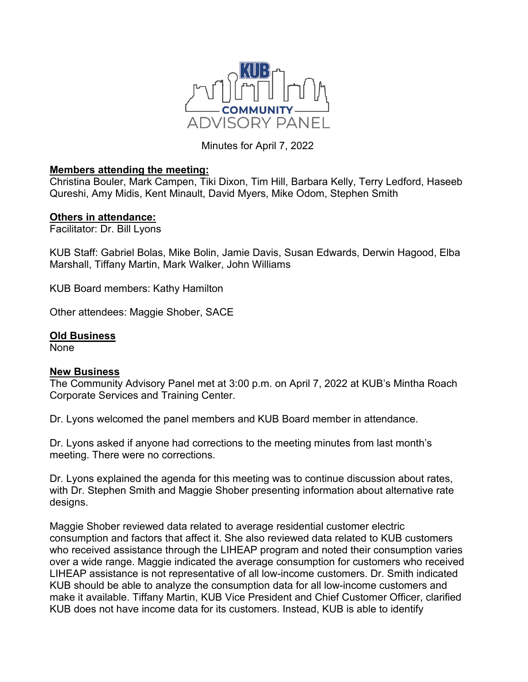

Minutes for April 7, 2022

## **Members attending the meeting:**

Christina Bouler, Mark Campen, Tiki Dixon, Tim Hill, Barbara Kelly, Terry Ledford, Haseeb Qureshi, Amy Midis, Kent Minault, David Myers, Mike Odom, Stephen Smith

## **Others in attendance:**

Facilitator: Dr. Bill Lyons

KUB Staff: Gabriel Bolas, Mike Bolin, Jamie Davis, Susan Edwards, Derwin Hagood, Elba Marshall, Tiffany Martin, Mark Walker, John Williams

KUB Board members: Kathy Hamilton

Other attendees: Maggie Shober, SACE

## **Old Business**

None

## **New Business**

The Community Advisory Panel met at 3:00 p.m. on April 7, 2022 at KUB's Mintha Roach Corporate Services and Training Center.

Dr. Lyons welcomed the panel members and KUB Board member in attendance.

Dr. Lyons asked if anyone had corrections to the meeting minutes from last month's meeting. There were no corrections.

Dr. Lyons explained the agenda for this meeting was to continue discussion about rates, with Dr. Stephen Smith and Maggie Shober presenting information about alternative rate designs.

Maggie Shober reviewed data related to average residential customer electric consumption and factors that affect it. She also reviewed data related to KUB customers who received assistance through the LIHEAP program and noted their consumption varies over a wide range. Maggie indicated the average consumption for customers who received LIHEAP assistance is not representative of all low-income customers. Dr. Smith indicated KUB should be able to analyze the consumption data for all low-income customers and make it available. Tiffany Martin, KUB Vice President and Chief Customer Officer, clarified KUB does not have income data for its customers. Instead, KUB is able to identify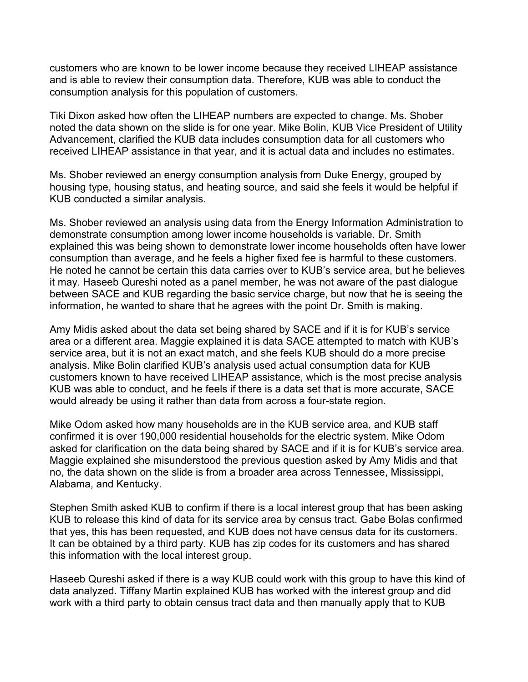customers who are known to be lower income because they received LIHEAP assistance and is able to review their consumption data. Therefore, KUB was able to conduct the consumption analysis for this population of customers.

Tiki Dixon asked how often the LIHEAP numbers are expected to change. Ms. Shober noted the data shown on the slide is for one year. Mike Bolin, KUB Vice President of Utility Advancement, clarified the KUB data includes consumption data for all customers who received LIHEAP assistance in that year, and it is actual data and includes no estimates.

Ms. Shober reviewed an energy consumption analysis from Duke Energy, grouped by housing type, housing status, and heating source, and said she feels it would be helpful if KUB conducted a similar analysis.

Ms. Shober reviewed an analysis using data from the Energy Information Administration to demonstrate consumption among lower income households is variable. Dr. Smith explained this was being shown to demonstrate lower income households often have lower consumption than average, and he feels a higher fixed fee is harmful to these customers. He noted he cannot be certain this data carries over to KUB's service area, but he believes it may. Haseeb Qureshi noted as a panel member, he was not aware of the past dialogue between SACE and KUB regarding the basic service charge, but now that he is seeing the information, he wanted to share that he agrees with the point Dr. Smith is making.

Amy Midis asked about the data set being shared by SACE and if it is for KUB's service area or a different area. Maggie explained it is data SACE attempted to match with KUB's service area, but it is not an exact match, and she feels KUB should do a more precise analysis. Mike Bolin clarified KUB's analysis used actual consumption data for KUB customers known to have received LIHEAP assistance, which is the most precise analysis KUB was able to conduct, and he feels if there is a data set that is more accurate, SACE would already be using it rather than data from across a four-state region.

Mike Odom asked how many households are in the KUB service area, and KUB staff confirmed it is over 190,000 residential households for the electric system. Mike Odom asked for clarification on the data being shared by SACE and if it is for KUB's service area. Maggie explained she misunderstood the previous question asked by Amy Midis and that no, the data shown on the slide is from a broader area across Tennessee, Mississippi, Alabama, and Kentucky.

Stephen Smith asked KUB to confirm if there is a local interest group that has been asking KUB to release this kind of data for its service area by census tract. Gabe Bolas confirmed that yes, this has been requested, and KUB does not have census data for its customers. It can be obtained by a third party. KUB has zip codes for its customers and has shared this information with the local interest group.

Haseeb Qureshi asked if there is a way KUB could work with this group to have this kind of data analyzed. Tiffany Martin explained KUB has worked with the interest group and did work with a third party to obtain census tract data and then manually apply that to KUB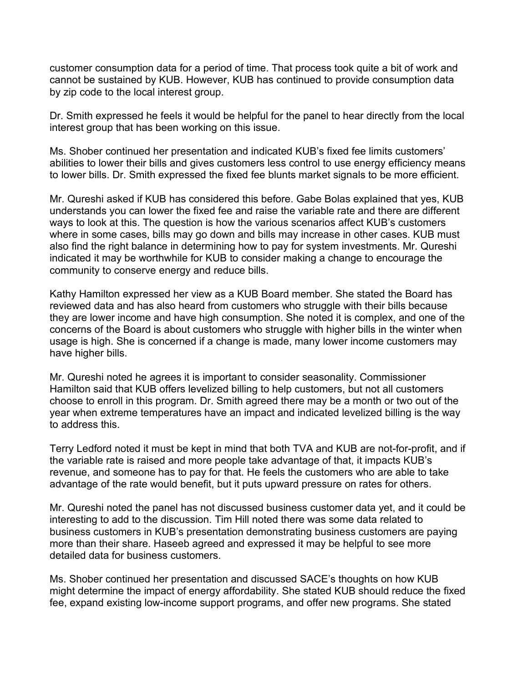customer consumption data for a period of time. That process took quite a bit of work and cannot be sustained by KUB. However, KUB has continued to provide consumption data by zip code to the local interest group.

Dr. Smith expressed he feels it would be helpful for the panel to hear directly from the local interest group that has been working on this issue.

Ms. Shober continued her presentation and indicated KUB's fixed fee limits customers' abilities to lower their bills and gives customers less control to use energy efficiency means to lower bills. Dr. Smith expressed the fixed fee blunts market signals to be more efficient.

Mr. Qureshi asked if KUB has considered this before. Gabe Bolas explained that yes, KUB understands you can lower the fixed fee and raise the variable rate and there are different ways to look at this. The question is how the various scenarios affect KUB's customers where in some cases, bills may go down and bills may increase in other cases. KUB must also find the right balance in determining how to pay for system investments. Mr. Qureshi indicated it may be worthwhile for KUB to consider making a change to encourage the community to conserve energy and reduce bills.

Kathy Hamilton expressed her view as a KUB Board member. She stated the Board has reviewed data and has also heard from customers who struggle with their bills because they are lower income and have high consumption. She noted it is complex, and one of the concerns of the Board is about customers who struggle with higher bills in the winter when usage is high. She is concerned if a change is made, many lower income customers may have higher bills.

Mr. Qureshi noted he agrees it is important to consider seasonality. Commissioner Hamilton said that KUB offers levelized billing to help customers, but not all customers choose to enroll in this program. Dr. Smith agreed there may be a month or two out of the year when extreme temperatures have an impact and indicated levelized billing is the way to address this.

Terry Ledford noted it must be kept in mind that both TVA and KUB are not-for-profit, and if the variable rate is raised and more people take advantage of that, it impacts KUB's revenue, and someone has to pay for that. He feels the customers who are able to take advantage of the rate would benefit, but it puts upward pressure on rates for others.

Mr. Qureshi noted the panel has not discussed business customer data yet, and it could be interesting to add to the discussion. Tim Hill noted there was some data related to business customers in KUB's presentation demonstrating business customers are paying more than their share. Haseeb agreed and expressed it may be helpful to see more detailed data for business customers.

Ms. Shober continued her presentation and discussed SACE's thoughts on how KUB might determine the impact of energy affordability. She stated KUB should reduce the fixed fee, expand existing low-income support programs, and offer new programs. She stated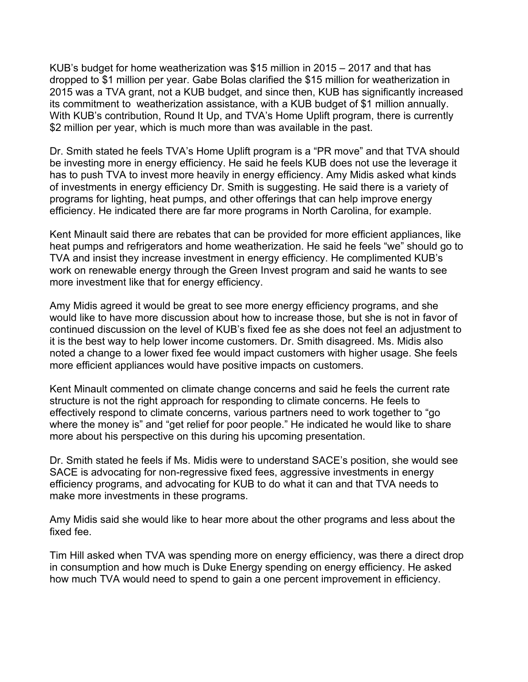KUB's budget for home weatherization was \$15 million in 2015 – 2017 and that has dropped to \$1 million per year. Gabe Bolas clarified the \$15 million for weatherization in 2015 was a TVA grant, not a KUB budget, and since then, KUB has significantly increased its commitment to weatherization assistance, with a KUB budget of \$1 million annually. With KUB's contribution, Round It Up, and TVA's Home Uplift program, there is currently \$2 million per year, which is much more than was available in the past.

Dr. Smith stated he feels TVA's Home Uplift program is a "PR move" and that TVA should be investing more in energy efficiency. He said he feels KUB does not use the leverage it has to push TVA to invest more heavily in energy efficiency. Amy Midis asked what kinds of investments in energy efficiency Dr. Smith is suggesting. He said there is a variety of programs for lighting, heat pumps, and other offerings that can help improve energy efficiency. He indicated there are far more programs in North Carolina, for example.

Kent Minault said there are rebates that can be provided for more efficient appliances, like heat pumps and refrigerators and home weatherization. He said he feels "we" should go to TVA and insist they increase investment in energy efficiency. He complimented KUB's work on renewable energy through the Green Invest program and said he wants to see more investment like that for energy efficiency.

Amy Midis agreed it would be great to see more energy efficiency programs, and she would like to have more discussion about how to increase those, but she is not in favor of continued discussion on the level of KUB's fixed fee as she does not feel an adjustment to it is the best way to help lower income customers. Dr. Smith disagreed. Ms. Midis also noted a change to a lower fixed fee would impact customers with higher usage. She feels more efficient appliances would have positive impacts on customers.

Kent Minault commented on climate change concerns and said he feels the current rate structure is not the right approach for responding to climate concerns. He feels to effectively respond to climate concerns, various partners need to work together to "go where the money is" and "get relief for poor people." He indicated he would like to share more about his perspective on this during his upcoming presentation.

Dr. Smith stated he feels if Ms. Midis were to understand SACE's position, she would see SACE is advocating for non-regressive fixed fees, aggressive investments in energy efficiency programs, and advocating for KUB to do what it can and that TVA needs to make more investments in these programs.

Amy Midis said she would like to hear more about the other programs and less about the fixed fee.

Tim Hill asked when TVA was spending more on energy efficiency, was there a direct drop in consumption and how much is Duke Energy spending on energy efficiency. He asked how much TVA would need to spend to gain a one percent improvement in efficiency.